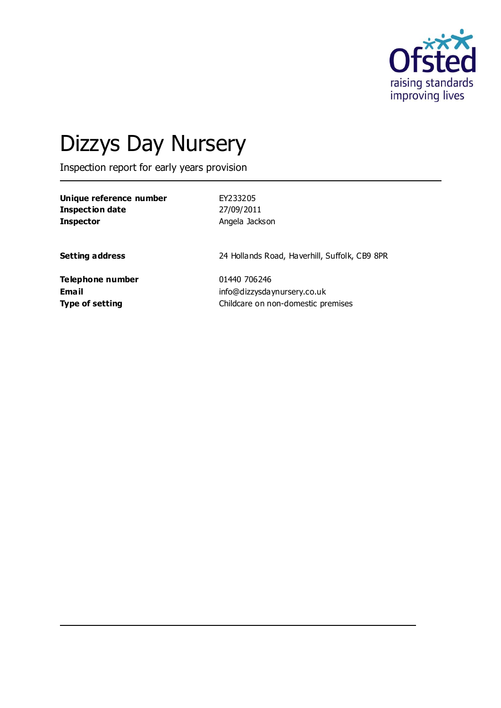

# Dizzys Day Nursery

Inspection report for early years provision

| Unique reference number | EY233205       |
|-------------------------|----------------|
| Inspection date         | 27/09/2011     |
| <b>Inspector</b>        | Angela Jackson |

**Setting address** 24 Hollands Road, Haverhill, Suffolk, CB9 8PR

**Telephone number** 01440 706246

**Email** info@dizzysdaynursery.co.uk **Type of setting** Childcare on non-domestic premises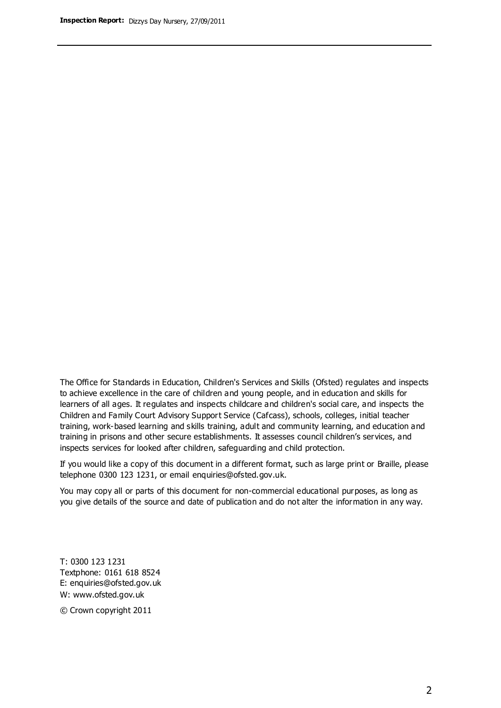The Office for Standards in Education, Children's Services and Skills (Ofsted) regulates and inspects to achieve excellence in the care of children and young people, and in education and skills for learners of all ages. It regulates and inspects childcare and children's social care, and inspects the Children and Family Court Advisory Support Service (Cafcass), schools, colleges, initial teacher training, work-based learning and skills training, adult and community learning, and education and training in prisons and other secure establishments. It assesses council children's services, and inspects services for looked after children, safeguarding and child protection.

If you would like a copy of this document in a different format, such as large print or Braille, please telephone 0300 123 1231, or email enquiries@ofsted.gov.uk.

You may copy all or parts of this document for non-commercial educational purposes, as long as you give details of the source and date of publication and do not alter the information in any way.

T: 0300 123 1231 Textphone: 0161 618 8524 E: enquiries@ofsted.gov.uk W: [www.ofsted.gov.uk](http://www.ofsted.gov.uk/)

© Crown copyright 2011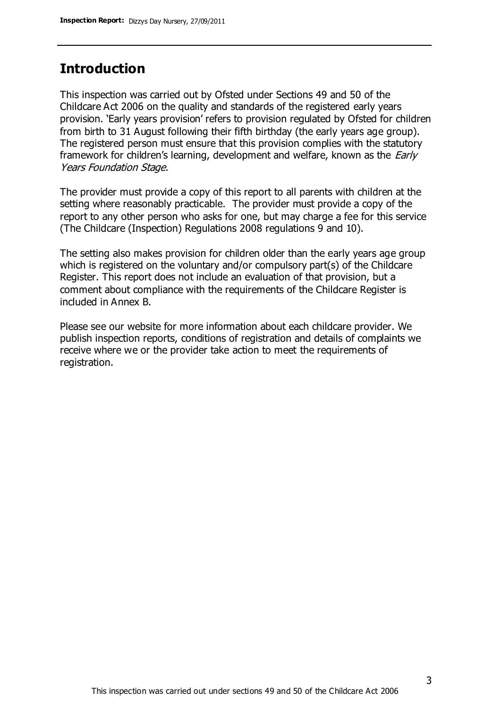#### **Introduction**

This inspection was carried out by Ofsted under Sections 49 and 50 of the Childcare Act 2006 on the quality and standards of the registered early years provision. 'Early years provision' refers to provision regulated by Ofsted for children from birth to 31 August following their fifth birthday (the early years age group). The registered person must ensure that this provision complies with the statutory framework for children's learning, development and welfare, known as the *Early* Years Foundation Stage.

The provider must provide a copy of this report to all parents with children at the setting where reasonably practicable. The provider must provide a copy of the report to any other person who asks for one, but may charge a fee for this service (The Childcare (Inspection) Regulations 2008 regulations 9 and 10).

The setting also makes provision for children older than the early years age group which is registered on the voluntary and/or compulsory part(s) of the Childcare Register. This report does not include an evaluation of that provision, but a comment about compliance with the requirements of the Childcare Register is included in Annex B.

Please see our website for more information about each childcare provider. We publish inspection reports, conditions of registration and details of complaints we receive where we or the provider take action to meet the requirements of registration.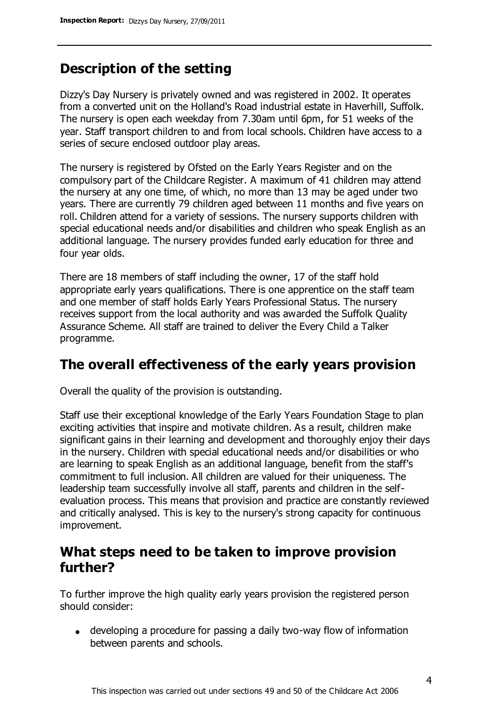## **Description of the setting**

Dizzy's Day Nursery is privately owned and was registered in 2002. It operates from a converted unit on the Holland's Road industrial estate in Haverhill, Suffolk. The nursery is open each weekday from 7.30am until 6pm, for 51 weeks of the year. Staff transport children to and from local schools. Children have access to a series of secure enclosed outdoor play areas.

The nursery is registered by Ofsted on the Early Years Register and on the compulsory part of the Childcare Register. A maximum of 41 children may attend the nursery at any one time, of which, no more than 13 may be aged under two years. There are currently 79 children aged between 11 months and five years on roll. Children attend for a variety of sessions. The nursery supports children with special educational needs and/or disabilities and children who speak English as an additional language. The nursery provides funded early education for three and four year olds.

There are 18 members of staff including the owner, 17 of the staff hold appropriate early years qualifications. There is one apprentice on the staff team and one member of staff holds Early Years Professional Status. The nursery receives support from the local authority and was awarded the Suffolk Quality Assurance Scheme. All staff are trained to deliver the Every Child a Talker programme.

### **The overall effectiveness of the early years provision**

Overall the quality of the provision is outstanding.

Staff use their exceptional knowledge of the Early Years Foundation Stage to plan exciting activities that inspire and motivate children. As a result, children make significant gains in their learning and development and thoroughly enjoy their days in the nursery. Children with special educational needs and/or disabilities or who are learning to speak English as an additional language, benefit from the staff's commitment to full inclusion. All children are valued for their uniqueness. The leadership team successfully involve all staff, parents and children in the selfevaluation process. This means that provision and practice are constantly reviewed and critically analysed. This is key to the nursery's strong capacity for continuous improvement.

#### **What steps need to be taken to improve provision further?**

To further improve the high quality early years provision the registered person should consider:

developing a procedure for passing a daily two-way flow of information between parents and schools.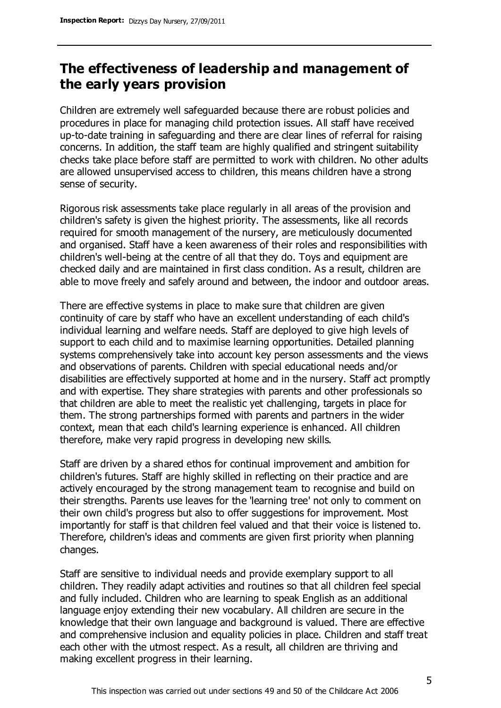## **The effectiveness of leadership and management of the early years provision**

Children are extremely well safeguarded because there are robust policies and procedures in place for managing child protection issues. All staff have received up-to-date training in safeguarding and there are clear lines of referral for raising concerns. In addition, the staff team are highly qualified and stringent suitability checks take place before staff are permitted to work with children. No other adults are allowed unsupervised access to children, this means children have a strong sense of security.

Rigorous risk assessments take place regularly in all areas of the provision and children's safety is given the highest priority. The assessments, like all records required for smooth management of the nursery, are meticulously documented and organised. Staff have a keen awareness of their roles and responsibilities with children's well-being at the centre of all that they do. Toys and equipment are checked daily and are maintained in first class condition. As a result, children are able to move freely and safely around and between, the indoor and outdoor areas.

There are effective systems in place to make sure that children are given continuity of care by staff who have an excellent understanding of each child's individual learning and welfare needs. Staff are deployed to give high levels of support to each child and to maximise learning opportunities. Detailed planning systems comprehensively take into account key person assessments and the views and observations of parents. Children with special educational needs and/or disabilities are effectively supported at home and in the nursery. Staff act promptly and with expertise. They share strategies with parents and other professionals so that children are able to meet the realistic yet challenging, targets in place for them. The strong partnerships formed with parents and partners in the wider context, mean that each child's learning experience is enhanced. All children therefore, make very rapid progress in developing new skills.

Staff are driven by a shared ethos for continual improvement and ambition for children's futures. Staff are highly skilled in reflecting on their practice and are actively encouraged by the strong management team to recognise and build on their strengths. Parents use leaves for the 'learning tree' not only to comment on their own child's progress but also to offer suggestions for improvement. Most importantly for staff is that children feel valued and that their voice is listened to. Therefore, children's ideas and comments are given first priority when planning changes.

Staff are sensitive to individual needs and provide exemplary support to all children. They readily adapt activities and routines so that all children feel special and fully included. Children who are learning to speak English as an additional language enjoy extending their new vocabulary. All children are secure in the knowledge that their own language and background is valued. There are effective and comprehensive inclusion and equality policies in place. Children and staff treat each other with the utmost respect. As a result, all children are thriving and making excellent progress in their learning.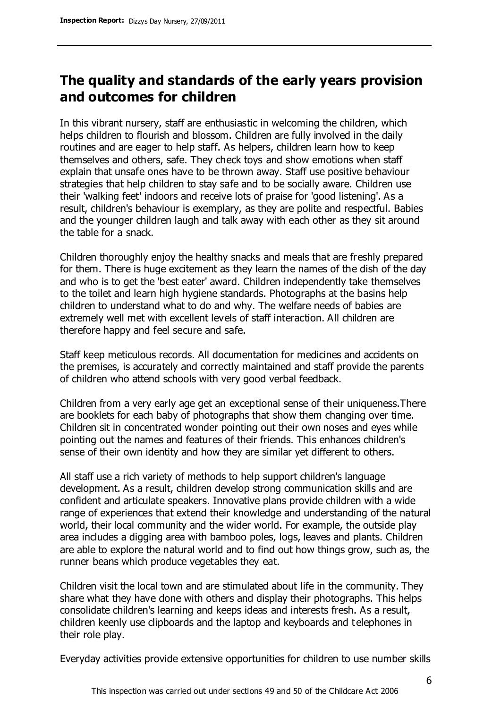## **The quality and standards of the early years provision and outcomes for children**

In this vibrant nursery, staff are enthusiastic in welcoming the children, which helps children to flourish and blossom. Children are fully involved in the daily routines and are eager to help staff. As helpers, children learn how to keep themselves and others, safe. They check toys and show emotions when staff explain that unsafe ones have to be thrown away. Staff use positive behaviour strategies that help children to stay safe and to be socially aware. Children use their 'walking feet' indoors and receive lots of praise for 'good listening'. As a result, children's behaviour is exemplary, as they are polite and respectful. Babies and the younger children laugh and talk away with each other as they sit around the table for a snack.

Children thoroughly enjoy the healthy snacks and meals that are freshly prepared for them. There is huge excitement as they learn the names of the dish of the day and who is to get the 'best eater' award. Children independently take themselves to the toilet and learn high hygiene standards. Photographs at the basins help children to understand what to do and why. The welfare needs of babies are extremely well met with excellent levels of staff interaction. All children are therefore happy and feel secure and safe.

Staff keep meticulous records. All documentation for medicines and accidents on the premises, is accurately and correctly maintained and staff provide the parents of children who attend schools with very good verbal feedback.

Children from a very early age get an exceptional sense of their uniqueness.There are booklets for each baby of photographs that show them changing over time. Children sit in concentrated wonder pointing out their own noses and eyes while pointing out the names and features of their friends. This enhances children's sense of their own identity and how they are similar yet different to others.

All staff use a rich variety of methods to help support children's language development. As a result, children develop strong communication skills and are confident and articulate speakers. Innovative plans provide children with a wide range of experiences that extend their knowledge and understanding of the natural world, their local community and the wider world. For example, the outside play area includes a digging area with bamboo poles, logs, leaves and plants. Children are able to explore the natural world and to find out how things grow, such as, the runner beans which produce vegetables they eat.

Children visit the local town and are stimulated about life in the community. They share what they have done with others and display their photographs. This helps consolidate children's learning and keeps ideas and interests fresh. As a result, children keenly use clipboards and the laptop and keyboards and telephones in their role play.

Everyday activities provide extensive opportunities for children to use number skills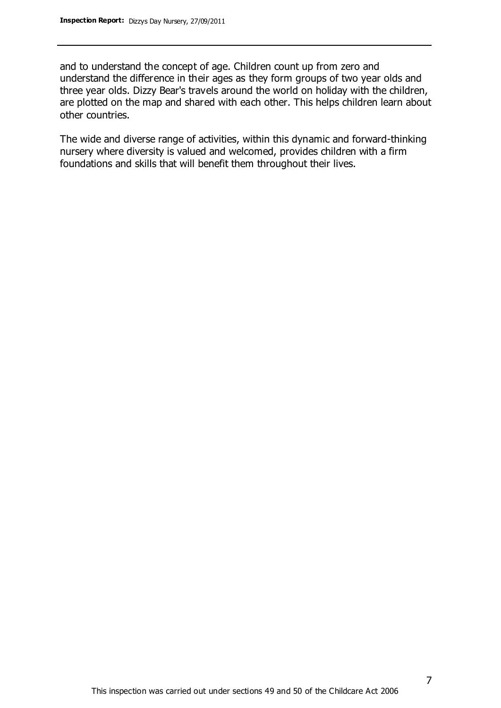and to understand the concept of age. Children count up from zero and understand the difference in their ages as they form groups of two year olds and three year olds. Dizzy Bear's travels around the world on holiday with the children, are plotted on the map and shared with each other. This helps children learn about other countries.

The wide and diverse range of activities, within this dynamic and forward-thinking nursery where diversity is valued and welcomed, provides children with a firm foundations and skills that will benefit them throughout their lives.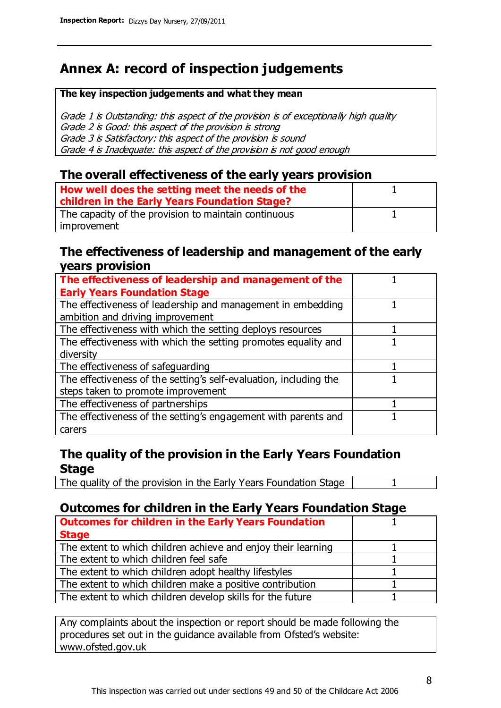## **Annex A: record of inspection judgements**

#### **The key inspection judgements and what they mean**

Grade 1 is Outstanding: this aspect of the provision is of exceptionally high quality Grade 2 is Good: this aspect of the provision is strong Grade 3 is Satisfactory: this aspect of the provision is sound Grade 4 is Inadequate: this aspect of the provision is not good enough

#### **The overall effectiveness of the early years provision**

| How well does the setting meet the needs of the<br>children in the Early Years Foundation Stage? |  |
|--------------------------------------------------------------------------------------------------|--|
| The capacity of the provision to maintain continuous                                             |  |
| improvement                                                                                      |  |

#### **The effectiveness of leadership and management of the early years provision**

| The effectiveness of leadership and management of the             |  |
|-------------------------------------------------------------------|--|
| <b>Early Years Foundation Stage</b>                               |  |
| The effectiveness of leadership and management in embedding       |  |
| ambition and driving improvement                                  |  |
| The effectiveness with which the setting deploys resources        |  |
| The effectiveness with which the setting promotes equality and    |  |
| diversity                                                         |  |
| The effectiveness of safeguarding                                 |  |
| The effectiveness of the setting's self-evaluation, including the |  |
| steps taken to promote improvement                                |  |
| The effectiveness of partnerships                                 |  |
| The effectiveness of the setting's engagement with parents and    |  |
| carers                                                            |  |

#### **The quality of the provision in the Early Years Foundation Stage**

The quality of the provision in the Early Years Foundation Stage | 1

#### **Outcomes for children in the Early Years Foundation Stage**

| <b>Outcomes for children in the Early Years Foundation</b>    |  |
|---------------------------------------------------------------|--|
| <b>Stage</b>                                                  |  |
| The extent to which children achieve and enjoy their learning |  |
| The extent to which children feel safe                        |  |
| The extent to which children adopt healthy lifestyles         |  |
| The extent to which children make a positive contribution     |  |
| The extent to which children develop skills for the future    |  |

Any complaints about the inspection or report should be made following the procedures set out in the guidance available from Ofsted's website: www.ofsted.gov.uk